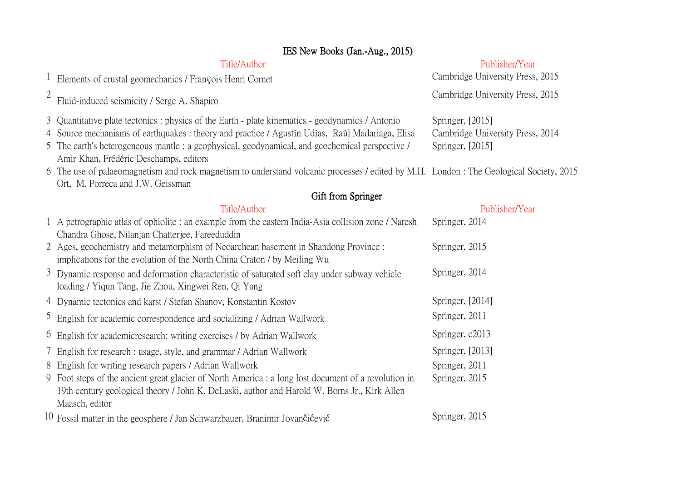|                | IES New Books (Jan.-Aug., 2015)                                                                                                                                                                                                                                                                                                                |                                                                          |
|----------------|------------------------------------------------------------------------------------------------------------------------------------------------------------------------------------------------------------------------------------------------------------------------------------------------------------------------------------------------|--------------------------------------------------------------------------|
|                | Title/Author                                                                                                                                                                                                                                                                                                                                   | Publisher/Year                                                           |
|                | <sup>1</sup> Elements of crustal geomechanics / François Henri Cornet                                                                                                                                                                                                                                                                          | Cambridge University Press, 2015                                         |
| $\overline{2}$ | Fluid-induced seismicity / Serge A. Shapiro                                                                                                                                                                                                                                                                                                    | Cambridge University Press, 2015                                         |
|                | 3 Quantitative plate tectonics: physics of the Earth - plate kinematics - geodynamics / Antonio<br>4 Source mechanisms of earthquakes: theory and practice / Agustín Udías, Raúl Madariaga, Elisa<br>5 The earth's heterogeneous mantle : a geophysical, geodynamical, and geochemical perspective /<br>Amir Khan, Frédéric Deschamps, editors | Springer, [2015]<br>Cambridge University Press, 2014<br>Springer, [2015] |
|                | 6 The use of palaeomagnetism and rock magnetism to understand volcanic processes / edited by M.H. London: The Geological Society, 2015<br>Ort, M. Porreca and J.W. Geissman                                                                                                                                                                    |                                                                          |
|                | Gift from Springer                                                                                                                                                                                                                                                                                                                             |                                                                          |
|                | Title/Author                                                                                                                                                                                                                                                                                                                                   | Publisher/Year                                                           |
|                | 1 A petrographic atlas of ophiolite : an example from the eastern India-Asia collision zone / Naresh<br>Chandra Ghose, Nilanjan Chatterjee, Fareeduddin                                                                                                                                                                                        | Springer, 2014                                                           |
|                | 2 Ages, geochemistry and metamorphism of Neoarchean basement in Shandong Province :<br>implications for the evolution of the North China Craton / by Meiling Wu                                                                                                                                                                                | Springer, 2015                                                           |
|                | 3 Dynamic response and deformation characteristic of saturated soft clay under subway vehicle<br>loading / Yiqun Tang, Jie Zhou, Xingwei Ren, Qi Yang                                                                                                                                                                                          | Springer, 2014                                                           |
|                | 4 Dynamic tectonics and karst / Stefan Shanov, Konstantin Kostov                                                                                                                                                                                                                                                                               | Springer, [2014]                                                         |
|                | <sup>5</sup> English for academic correspondence and socializing / Adrian Wallwork                                                                                                                                                                                                                                                             | Springer, 2011                                                           |
|                | <sup>6</sup> English for academicresearch: writing exercises / by Adrian Wallwork                                                                                                                                                                                                                                                              | Springer, c2013                                                          |
|                | 7 English for research : usage, style, and grammar / Adrian Wallwork                                                                                                                                                                                                                                                                           | Springer, [2013]                                                         |
|                | 8 English for writing research papers / Adrian Wallwork                                                                                                                                                                                                                                                                                        | Springer, 2011                                                           |
|                | 9 Foot steps of the ancient great glacier of North America : a long lost document of a revolution in<br>19th century geological theory / John K. DeLaski, author and Harold W. Borns Jr., Kirk Allen<br>Maasch, editor                                                                                                                         | Springer, 2015                                                           |
|                | 10 Fossil matter in the geosphere / Jan Schwarzbauer, Branimir Jovančićević                                                                                                                                                                                                                                                                    | Springer, 2015                                                           |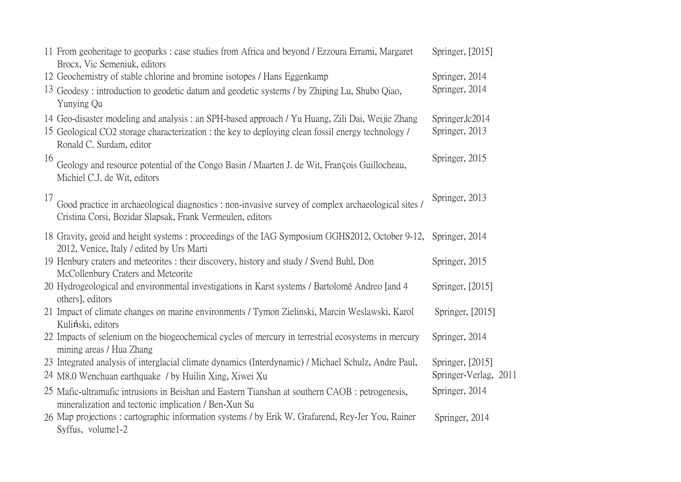|    | 11 From geoheritage to geoparks : case studies from Africa and beyond / Ezzoura Errami, Margaret<br>Brocx, Vic Semeniuk, editors                                                                                                  | Springer, [2015]                   |
|----|-----------------------------------------------------------------------------------------------------------------------------------------------------------------------------------------------------------------------------------|------------------------------------|
|    | 12 Geochemistry of stable chlorine and bromine isotopes / Hans Eggenkamp                                                                                                                                                          | Springer, 2014                     |
|    | 13 Geodesy: introduction to geodetic datum and geodetic systems / by Zhiping Lu, Shubo Qiao,<br>Yunying Qu                                                                                                                        | Springer, 2014                     |
|    | 14 Geo-disaster modeling and analysis: an SPH-based approach / Yu Huang, Zili Dai, Weijie Zhang<br>15 Geological CO2 storage characterization : the key to deploying clean fossil energy technology /<br>Ronald C. Surdam, editor | Springer, lc2014<br>Springer, 2013 |
| 16 | Geology and resource potential of the Congo Basin / Maarten J. de Wit, François Guillocheau,<br>Michiel C.J. de Wit, editors                                                                                                      | Springer, 2015                     |
| 17 | Good practice in archaeological diagnostics : non-invasive survey of complex archaeological sites /<br>Cristina Corsi, Bozidar Slapsak, Frank Vermeulen, editors                                                                  | Springer, 2013                     |
|    | 18 Gravity, geoid and height systems: proceedings of the IAG Symposium GGHS2012, October 9-12,<br>2012, Venice, Italy / edited by Urs Marti                                                                                       | Springer, 2014                     |
|    | 19 Henbury craters and meteorites : their discovery, history and study / Svend Buhl, Don<br>McCollenbury Craters and Meteorite                                                                                                    | Springer, 2015                     |
|    | 20 Hydrogeological and environmental investigations in Karst systems / Bartolomé Andreo [and 4<br>others], editors                                                                                                                | Springer, [2015]                   |
|    | 21 Impact of climate changes on marine environments / Tymon Zielinski, Marcin Weslawski, Karol<br>Kuliński, editors                                                                                                               | Springer, [2015]                   |
|    | 22 Impacts of selenium on the biogeochemical cycles of mercury in terrestrial ecosystems in mercury<br>mining areas / Hua Zhang                                                                                                   | Springer, 2014                     |
|    | 23 Integrated analysis of interglacial climate dynamics (Interdynamic) / Michael Schulz, Andre Paul,                                                                                                                              | Springer, [2015]                   |
|    | 24 M8.0 Wenchuan earthquake / by Huilin Xing, Xiwei Xu                                                                                                                                                                            | Springer-Verlag, 2011              |
|    | 25 Mafic-ultramafic intrusions in Beishan and Eastern Tianshan at southern CAOB : petrogenesis,<br>mineralization and tectonic implication / Ben-Xun Su                                                                           | Springer, 2014                     |
|    | 26 Map projections: cartographic information systems / by Erik W. Grafarend, Rey-Jer You, Rainer<br>Syffus, volume1-2                                                                                                             | Springer, 2014                     |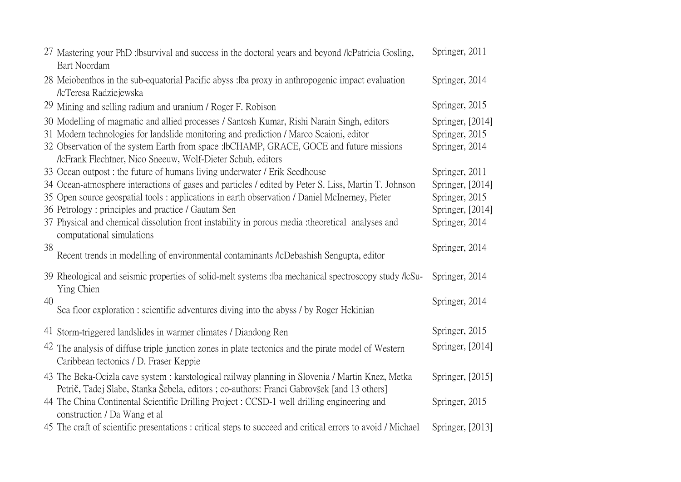|    | 27 Mastering your PhD : bsurvival and success in the doctoral years and beyond / lcPatricia Gosling,<br>Bart Noordam        | Springer, 2011   |
|----|-----------------------------------------------------------------------------------------------------------------------------|------------------|
|    | 28 Meiobenthos in the sub-equatorial Pacific abyss: ba proxy in anthropogenic impact evaluation<br>/IcTeresa Radziejewska   | Springer, 2014   |
|    | 29 Mining and selling radium and uranium / Roger F. Robison                                                                 | Springer, 2015   |
|    | 30 Modelling of magmatic and allied processes / Santosh Kumar, Rishi Narain Singh, editors                                  | Springer, [2014] |
|    | 31 Modern technologies for landslide monitoring and prediction / Marco Scaioni, editor                                      | Springer, 2015   |
|    | 32 Observation of the system Earth from space : IbCHAMP, GRACE, GOCE and future missions                                    | Springer, 2014   |
|    | /IcFrank Flechtner, Nico Sneeuw, Wolf-Dieter Schuh, editors                                                                 |                  |
|    | 33 Ocean outpost: the future of humans living underwater / Erik Seedhouse                                                   | Springer, 2011   |
|    | 34 Ocean-atmosphere interactions of gases and particles / edited by Peter S. Liss, Martin T. Johnson                        | Springer, [2014] |
|    | 35 Open source geospatial tools: applications in earth observation / Daniel McInerney, Pieter                               | Springer, 2015   |
|    | 36 Petrology: principles and practice / Gautam Sen                                                                          | Springer, [2014] |
|    | 37 Physical and chemical dissolution front instability in porous media :theoretical analyses and                            | Springer, 2014   |
|    | computational simulations                                                                                                   |                  |
| 38 | Recent trends in modelling of environmental contaminants /lcDebashish Sengupta, editor                                      | Springer, 2014   |
|    | 39 Rheological and seismic properties of solid-melt systems : Iba mechanical spectroscopy study /lcSu-<br>Ying Chien        | Springer, 2014   |
| 40 |                                                                                                                             | Springer, 2014   |
|    | Sea floor exploration: scientific adventures diving into the abyss / by Roger Hekinian                                      |                  |
|    | 41 Storm-triggered landslides in warmer climates / Diandong Ren                                                             | Springer, 2015   |
|    | 42 The analysis of diffuse triple junction zones in plate tectonics and the pirate model of Western                         | Springer, [2014] |
|    | Caribbean tectonics / D. Fraser Keppie                                                                                      |                  |
|    | 43 The Beka-Ocizla cave system : karstological railway planning in Slovenia / Martin Knez, Metka                            | Springer, [2015] |
|    | Petrič, Tadej Slabe, Stanka Šebela, editors; co-authors: Franci Gabrovšek [and 13 others]                                   |                  |
|    | 44 The China Continental Scientific Drilling Project : CCSD-1 well drilling engineering and<br>construction / Da Wang et al | Springer, 2015   |
|    | 45 The craft of scientific presentations: critical steps to succeed and critical errors to avoid / Michael                  | Springer, [2013] |